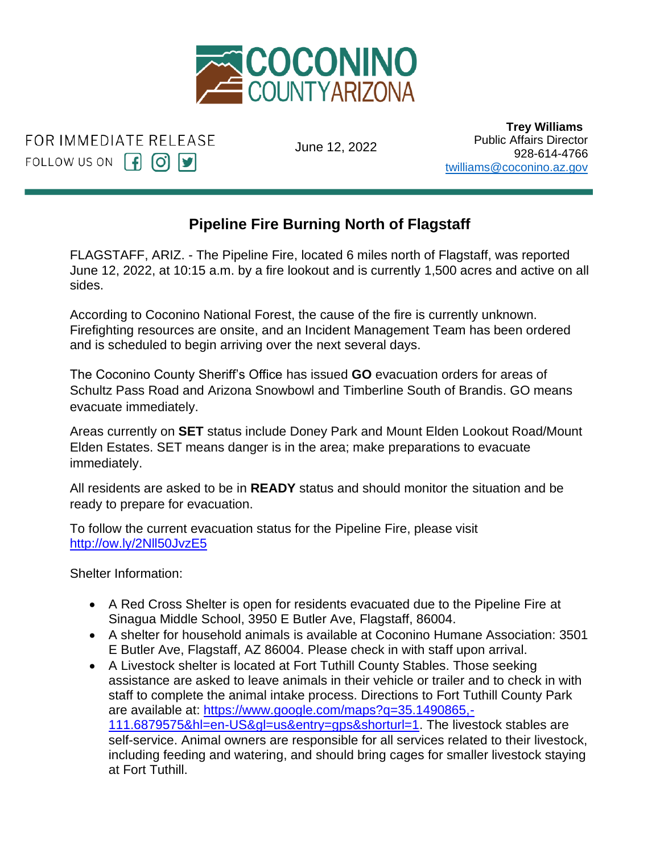

FOR IMMEDIATE RELEASE FOLLOW US ON  $\begin{bmatrix} f \\ \end{bmatrix}$   $\begin{bmatrix} 0 \\ \end{bmatrix}$   $\begin{bmatrix} y \\ \end{bmatrix}$ 

June 12, 2022

 **Trey Williams** Public Affairs Director 928-614-4766 [twilliams@coconino.az.gov](mailto:twilliams@coconino.az.gov)

## **Pipeline Fire Burning North of Flagstaff** Trey Williams

FLAGSTAFF, ARIZ. - The Pipeline Fire, located 6 miles north of Flagstaff, was reported June 12, 2022, at 10:15 a.m. by a fire lookout and is currently 1,500 acres and active on all sides. اااا in <mark>c</mark>

According to Coconino National Forest, the cause of the fire is currently unknown. Firefighting resources are onsite, and an Incident Management Team has been ordered and is scheduled to begin arriving over the next several days.

The Coconino County Sheriff's Office has issued **GO** evacuation orders for areas of Schultz Pass Road and Arizona Snowbowl and Timberline South of Brandis. GO means evacuate immediately.

Areas currently on **SET** status include Doney Park and Mount Elden Lookout Road/Mount Elden Estates. SET means danger is in the area; make preparations to evacuate immediately.

All residents are asked to be in **READY** status and should monitor the situation and be ready to prepare for evacuation.

To follow the current evacuation status for the Pipeline Fire, please visit [http://ow.ly/2Nll50JvzE5](http://ow.ly/2Nll50JvzE5?fbclid=IwAR0nXO9Kp6l97j4l1rtNQiZvr0FnkFkhnsPm_hVT7-f65Mr6oWYVap2mDHo)

Shelter Information:

- A Red Cross Shelter is open for residents evacuated due to the Pipeline Fire at Sinagua Middle School, 3950 E Butler Ave, Flagstaff, 86004.
- A shelter for household animals is available at Coconino Humane Association: 3501 E Butler Ave, Flagstaff, AZ 86004. Please check in with staff upon arrival.
- A Livestock shelter is located at Fort Tuthill County Stables. Those seeking assistance are asked to leave animals in their vehicle or trailer and to check in with staff to complete the animal intake process. Directions to Fort Tuthill County Park are available at: [https://www.google.com/maps?q=35.1490865,-](https://www.google.com/maps?q=35.1490865%2C-111.6879575&hl=en-US&gl=us&entry=gps&shorturl=1&fbclid=IwAR0vZQCNqD8KAZJ0Qnk_MMFTlhvKiFtTAuV9No6VHp1Vrc9EwGxjcIvMjzc) [111.6879575&hl=en-US&gl=us&entry=gps&shorturl=1.](https://www.google.com/maps?q=35.1490865%2C-111.6879575&hl=en-US&gl=us&entry=gps&shorturl=1&fbclid=IwAR0vZQCNqD8KAZJ0Qnk_MMFTlhvKiFtTAuV9No6VHp1Vrc9EwGxjcIvMjzc) The livestock stables are self-service. Animal owners are responsible for all services related to their livestock, including feeding and watering, and should bring cages for smaller livestock staying at Fort Tuthill.